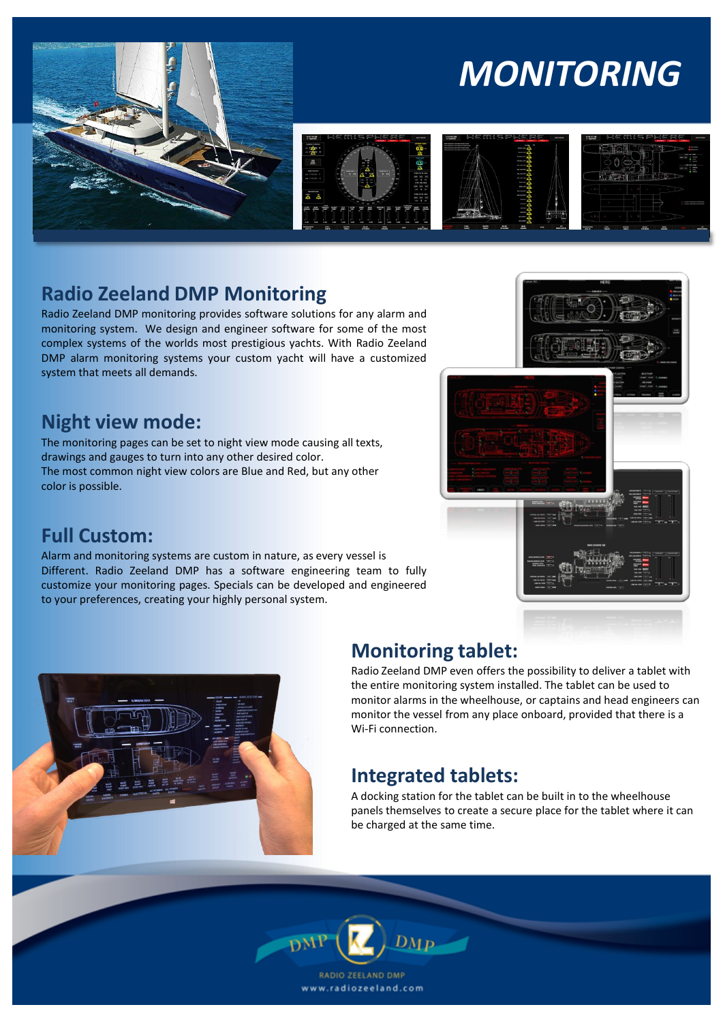

# *MONITORING*





### **Radio Zeeland DMP Monitoring**

Radio Zeeland DMP monitoring provides software solutions for any alarm and monitoring system. We design and engineer software for some of the most complex systems of the worlds most prestigious yachts. With Radio Zeeland DMP alarm monitoring systems your custom yacht will have a customized system that meets all demands.

#### **Night view mode:**

The monitoring pages can be set to night view mode causing all texts, drawings and gauges to turn into any other desired color. The most common night view colors are Blue and Red, but any other color is possible.

## **Full Custom:**

Alarm and monitoring systems are custom in nature, as every vessel is Different. Radio Zeeland DMP has a software engineering team to fully customize your monitoring pages. Specials can be developed and engineered to your preferences, creating your highly personal system.





### **Monitoring tablet:**

Radio Zeeland DMP even offers the possibility to deliver a tablet with the entire monitoring system installed. The tablet can be used to monitor alarms in the wheelhouse, or captains and head engineers can monitor the vessel from any place onboard, provided that there is a Wi-Fi connection.

### **Integrated tablets:**

A docking station for the tablet can be built in to the wheelhouse panels themselves to create a secure place for the tablet where it can be charged at the same time.